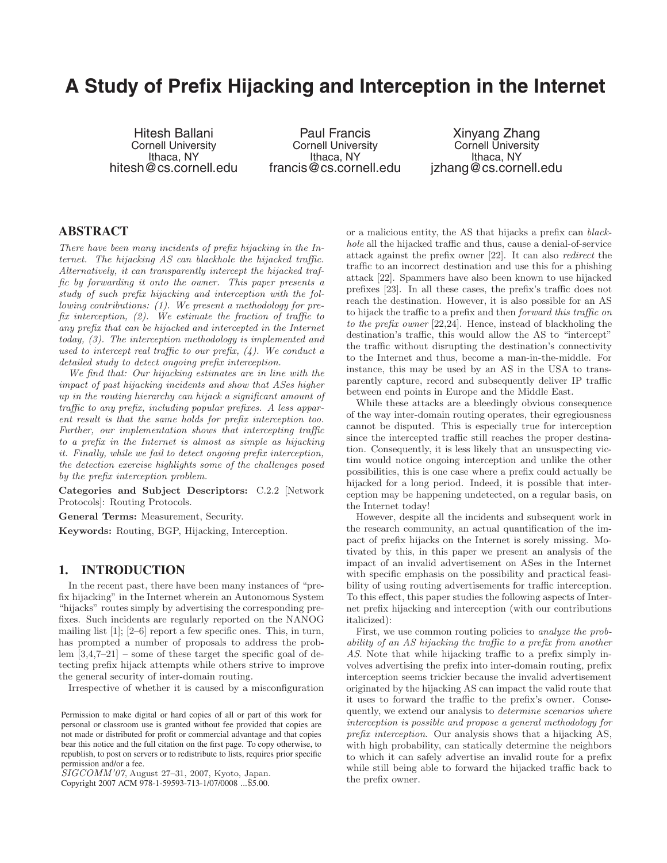# **A Study of Prefix Hijacking and Interception in the Internet**

Hitesh Ballani Cornell University Ithaca, NY hitesh@cs.cornell.edu

Paul Francis Cornell University Ithaca, NY francis@cs.cornell.edu

Xinyang Zhang Cornell University Ithaca, NY jzhang@cs.cornell.edu

# **ABSTRACT**

There have been many incidents of prefix hijacking in the Internet. The hijacking AS can blackhole the hijacked traffic. Alternatively, it can transparently intercept the hijacked traffic by forwarding it onto the owner. This paper presents a study of such prefix hijacking and interception with the following contributions: (1). We present a methodology for prefix interception, (2). We estimate the fraction of traffic to any prefix that can be hijacked and intercepted in the Internet today, (3). The interception methodology is implemented and used to intercept real traffic to our prefix,  $(4)$ . We conduct a detailed study to detect ongoing prefix interception.

We find that: Our hijacking estimates are in line with the impact of past hijacking incidents and show that ASes higher up in the routing hierarchy can hijack a significant amount of traffic to any prefix, including popular prefixes. A less apparent result is that the same holds for prefix interception too. Further, our implementation shows that intercepting traffic to a prefix in the Internet is almost as simple as hijacking it. Finally, while we fail to detect ongoing prefix interception, the detection exercise highlights some of the challenges posed by the prefix interception problem.

**Categories and Subject Descriptors:** C.2.2 [Network Protocols]: Routing Protocols.

**General Terms:** Measurement, Security.

**Keywords:** Routing, BGP, Hijacking, Interception.

#### **1. INTRODUCTION**

In the recent past, there have been many instances of "prefix hijacking" in the Internet wherein an Autonomous System "hijacks" routes simply by advertising the corresponding prefixes. Such incidents are regularly reported on the NANOG mailing list [1]; [2–6] report a few specific ones. This, in turn, has prompted a number of proposals to address the problem  $[3,4,7-21]$  – some of these target the specific goal of detecting prefix hijack attempts while others strive to improve the general security of inter-domain routing.

Irrespective of whether it is caused by a misconfiguration

SIGCOMM'07, August 27–31, 2007, Kyoto, Japan.

Copyright 2007 ACM 978-1-59593-713-1/07/0008 ...\$5.00.

or a malicious entity, the AS that hijacks a prefix can blackhole all the hijacked traffic and thus, cause a denial-of-service attack against the prefix owner [22]. It can also redirect the traffic to an incorrect destination and use this for a phishing attack [22]. Spammers have also been known to use hijacked prefixes [23]. In all these cases, the prefix's traffic does not reach the destination. However, it is also possible for an AS to hijack the traffic to a prefix and then forward this traffic on to the prefix owner [22,24]. Hence, instead of blackholing the destination's traffic, this would allow the AS to "intercept" the traffic without disrupting the destination's connectivity to the Internet and thus, become a man-in-the-middle. For instance, this may be used by an AS in the USA to transparently capture, record and subsequently deliver IP traffic between end points in Europe and the Middle East.

While these attacks are a bleedingly obvious consequence of the way inter-domain routing operates, their egregiousness cannot be disputed. This is especially true for interception since the intercepted traffic still reaches the proper destination. Consequently, it is less likely that an unsuspecting victim would notice ongoing interception and unlike the other possibilities, this is one case where a prefix could actually be hijacked for a long period. Indeed, it is possible that interception may be happening undetected, on a regular basis, on the Internet today!

However, despite all the incidents and subsequent work in the research community, an actual quantification of the impact of prefix hijacks on the Internet is sorely missing. Motivated by this, in this paper we present an analysis of the impact of an invalid advertisement on ASes in the Internet with specific emphasis on the possibility and practical feasibility of using routing advertisements for traffic interception. To this effect, this paper studies the following aspects of Internet prefix hijacking and interception (with our contributions italicized):

First, we use common routing policies to *analyze the prob*ability of an AS hijacking the traffic to a prefix from another AS. Note that while hijacking traffic to a prefix simply involves advertising the prefix into inter-domain routing, prefix interception seems trickier because the invalid advertisement originated by the hijacking AS can impact the valid route that it uses to forward the traffic to the prefix's owner. Consequently, we extend our analysis to determine scenarios where interception is possible and propose a general methodology for prefix interception. Our analysis shows that a hijacking AS, with high probability, can statically determine the neighbors to which it can safely advertise an invalid route for a prefix while still being able to forward the hijacked traffic back to the prefix owner.

Permission to make digital or hard copies of all or part of this work for personal or classroom use is granted without fee provided that copies are not made or distributed for profit or commercial advantage and that copies bear this notice and the full citation on the first page. To copy otherwise, to republish, to post on servers or to redistribute to lists, requires prior specific permission and/or a fee.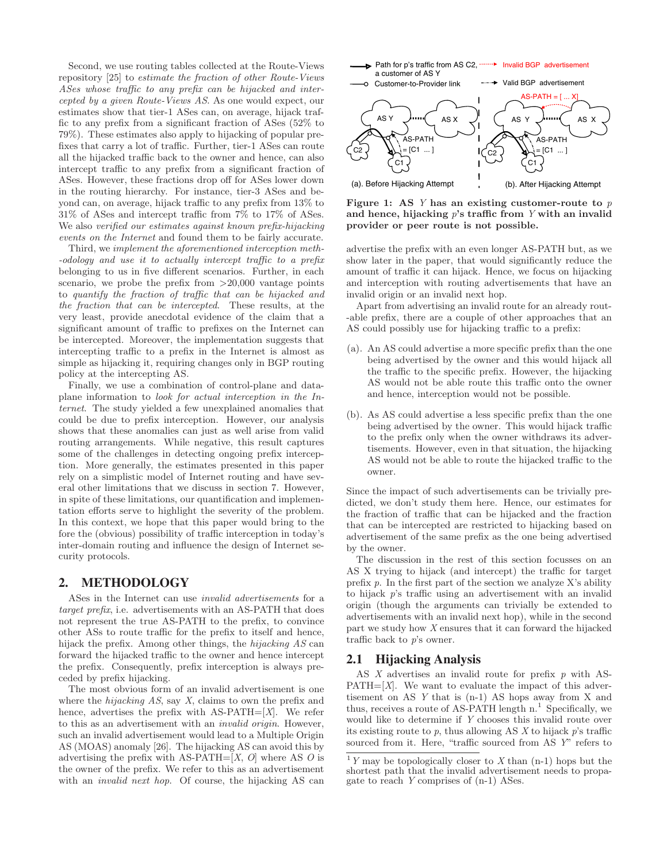Second, we use routing tables collected at the Route-Views repository [25] to estimate the fraction of other Route-Views ASes whose traffic to any prefix can be hijacked and intercepted by a given Route-Views AS. As one would expect, our estimates show that tier-1 ASes can, on average, hijack traffic to any prefix from a significant fraction of ASes (52% to 79%). These estimates also apply to hijacking of popular prefixes that carry a lot of traffic. Further, tier-1 ASes can route all the hijacked traffic back to the owner and hence, can also intercept traffic to any prefix from a significant fraction of ASes. However, these fractions drop off for ASes lower down in the routing hierarchy. For instance, tier-3 ASes and beyond can, on average, hijack traffic to any prefix from 13% to 31% of ASes and intercept traffic from 7% to 17% of ASes. We also verified our estimates against known prefix-hijacking events on the Internet and found them to be fairly accurate.

Third, we implement the aforementioned interception meth- -odology and use it to actually intercept traffic to a prefix belonging to us in five different scenarios. Further, in each scenario, we probe the prefix from *>*20,000 vantage points to quantify the fraction of traffic that can be hijacked and the fraction that can be intercepted. These results, at the very least, provide anecdotal evidence of the claim that a significant amount of traffic to prefixes on the Internet can be intercepted. Moreover, the implementation suggests that intercepting traffic to a prefix in the Internet is almost as simple as hijacking it, requiring changes only in BGP routing policy at the intercepting AS.

Finally, we use a combination of control-plane and dataplane information to look for actual interception in the Internet. The study yielded a few unexplained anomalies that could be due to prefix interception. However, our analysis shows that these anomalies can just as well arise from valid routing arrangements. While negative, this result captures some of the challenges in detecting ongoing prefix interception. More generally, the estimates presented in this paper rely on a simplistic model of Internet routing and have several other limitations that we discuss in section 7. However, in spite of these limitations, our quantification and implementation efforts serve to highlight the severity of the problem. In this context, we hope that this paper would bring to the fore the (obvious) possibility of traffic interception in today's inter-domain routing and influence the design of Internet security protocols.

## **2. METHODOLOGY**

ASes in the Internet can use invalid advertisements for a target prefix, i.e. advertisements with an AS-PATH that does not represent the true AS-PATH to the prefix, to convince other ASs to route traffic for the prefix to itself and hence, hijack the prefix. Among other things, the *hijacking AS* can forward the hijacked traffic to the owner and hence intercept the prefix. Consequently, prefix interception is always preceded by prefix hijacking.

The most obvious form of an invalid advertisement is one where the *hijacking AS*, say X, claims to own the prefix and hence, advertises the prefix with  $AS-PATH=[X]$ . We refer to this as an advertisement with an invalid origin. However, such an invalid advertisement would lead to a Multiple Origin AS (MOAS) anomaly [26]. The hijacking AS can avoid this by advertising the prefix with AS-PATH=[X, O] where AS O is the owner of the prefix. We refer to this as an advertisement with an *invalid next hop.* Of course, the hijacking AS can



**Figure 1: AS** Y **has an existing customer-route to** p **and hence, hijacking** p**'s traffic from** Y **with an invalid provider or peer route is not possible.**

advertise the prefix with an even longer AS-PATH but, as we show later in the paper, that would significantly reduce the amount of traffic it can hijack. Hence, we focus on hijacking and interception with routing advertisements that have an invalid origin or an invalid next hop.

Apart from advertising an invalid route for an already rout- -able prefix, there are a couple of other approaches that an AS could possibly use for hijacking traffic to a prefix:

- (a). An AS could advertise a more specific prefix than the one being advertised by the owner and this would hijack all the traffic to the specific prefix. However, the hijacking AS would not be able route this traffic onto the owner and hence, interception would not be possible.
- (b). As AS could advertise a less specific prefix than the one being advertised by the owner. This would hijack traffic to the prefix only when the owner withdraws its advertisements. However, even in that situation, the hijacking AS would not be able to route the hijacked traffic to the owner.

Since the impact of such advertisements can be trivially predicted, we don't study them here. Hence, our estimates for the fraction of traffic that can be hijacked and the fraction that can be intercepted are restricted to hijacking based on advertisement of the same prefix as the one being advertised by the owner.

The discussion in the rest of this section focusses on an AS X trying to hijack (and intercept) the traffic for target prefix  $p$ . In the first part of the section we analyze X's ability to hijack p's traffic using an advertisement with an invalid origin (though the arguments can trivially be extended to advertisements with an invalid next hop), while in the second part we study how  $X$  ensures that it can forward the hijacked traffic back to  $p$ 's owner.

## **2.1 Hijacking Analysis**

AS  $X$  advertises an invalid route for prefix  $p$  with AS- $PATH=[X]$ . We want to evaluate the impact of this advertisement on AS Y that is (n-1) AS hops away from X and thus, receives a route of AS-PATH length  $n<sup>1</sup>$ . Specifically, we would like to determine if Y chooses this invalid route over its existing route to  $p$ , thus allowing AS  $X$  to hijack  $p$ 's traffic sourced from it. Here, "traffic sourced from AS Y" refers to

<sup>&</sup>lt;sup>1</sup> Y may be topologically closer to X than  $(n-1)$  hops but the shortest path that the invalid advertisement needs to propagate to reach Y comprises of (n-1) ASes.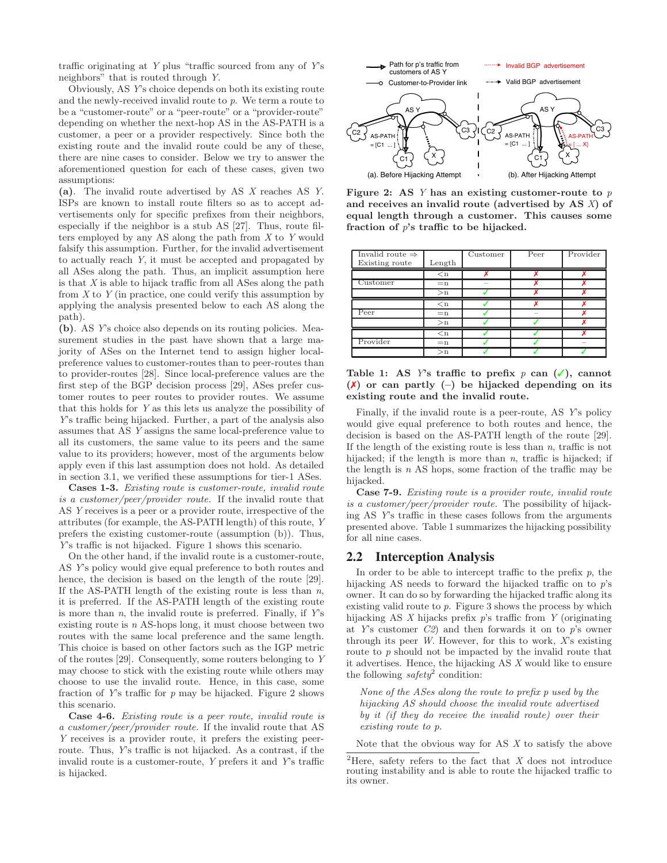traffic originating at Y plus "traffic sourced from any of Y's neighbors" that is routed through Y.

Obviously, AS Y's choice depends on both its existing route and the newly-received invalid route to  $p$ . We term a route to be a "customer-route" or a "peer-route" or a "provider-route" depending on whether the next-hop AS in the AS-PATH is a customer, a peer or a provider respectively. Since both the existing route and the invalid route could be any of these, there are nine cases to consider. Below we try to answer the aforementioned question for each of these cases, given two assumptions:

**(a)**. The invalid route advertised by AS X reaches AS Y. ISPs are known to install route filters so as to accept advertisements only for specific prefixes from their neighbors, especially if the neighbor is a stub AS [27]. Thus, route filters employed by any AS along the path from  $X$  to  $Y$  would falsify this assumption. Further, for the invalid advertisement to actually reach Y, it must be accepted and propagated by all ASes along the path. Thus, an implicit assumption here is that  $X$  is able to hijack traffic from all ASes along the path from  $X$  to  $Y$  (in practice, one could verify this assumption by applying the analysis presented below to each AS along the path).

**(b)**. AS Y's choice also depends on its routing policies. Measurement studies in the past have shown that a large majority of ASes on the Internet tend to assign higher localpreference values to customer-routes than to peer-routes than to provider-routes [28]. Since local-preference values are the first step of the BGP decision process [29], ASes prefer customer routes to peer routes to provider routes. We assume that this holds for Y as this lets us analyze the possibility of Y's traffic being hijacked. Further, a part of the analysis also assumes that AS Y assigns the same local-preference value to all its customers, the same value to its peers and the same value to its providers; however, most of the arguments below apply even if this last assumption does not hold. As detailed in section 3.1, we verified these assumptions for tier-1 ASes.

**Cases 1-3.** Existing route is customer-route, invalid route is a customer/peer/provider route. If the invalid route that AS Y receives is a peer or a provider route, irrespective of the attributes (for example, the AS-PATH length) of this route, Y prefers the existing customer-route (assumption (b)). Thus, Y's traffic is not hijacked. Figure 1 shows this scenario.

On the other hand, if the invalid route is a customer-route, AS Y's policy would give equal preference to both routes and hence, the decision is based on the length of the route [29]. If the AS-PATH length of the existing route is less than  $n$ , it is preferred. If the AS-PATH length of the existing route is more than  $n$ , the invalid route is preferred. Finally, if  $Y$ 's existing route is  $n$  AS-hops long, it must choose between two routes with the same local preference and the same length. This choice is based on other factors such as the IGP metric of the routes [29]. Consequently, some routers belonging to Y may choose to stick with the existing route while others may choose to use the invalid route. Hence, in this case, some fraction of  $Y$ 's traffic for  $p$  may be hijacked. Figure 2 shows this scenario.

**Case 4-6.** Existing route is a peer route, invalid route is a customer/peer/provider route. If the invalid route that AS Y receives is a provider route, it prefers the existing peerroute. Thus, Y's traffic is not hijacked. As a contrast, if the invalid route is a customer-route,  $Y$  prefers it and  $Y$ s traffic is hijacked.



**Figure 2: AS** Y **has an existing customer-route to** p **and receives an invalid route (advertised by AS** X**) of equal length through a customer. This causes some fraction of** p**'s traffic to be hijacked.**

| Invalid route $\Rightarrow$<br>Existing route | Length         | Customer                 | $\overline{\text{Peer}}$ | Provider |
|-----------------------------------------------|----------------|--------------------------|--------------------------|----------|
|                                               |                |                          |                          |          |
|                                               | $\mathop{<} n$ |                          |                          |          |
| Customer                                      | $=n$           | $\overline{\phantom{a}}$ |                          |          |
|                                               | >n             |                          |                          |          |
|                                               | $\mathop{<} n$ |                          |                          |          |
| Peer                                          | $=n$           |                          | $\sim$                   |          |
|                                               | >n             |                          |                          |          |
|                                               | $\mathop{<} n$ |                          |                          |          |
| Provider                                      | $=n$           |                          |                          | $\sim$   |
|                                               | >n             |                          |                          |          |

**Table 1:** AS Y's traffic to prefix p can  $(\checkmark)$ , cannot **(**✗**) or can partly (–) be hijacked depending on its existing route and the invalid route.**

Finally, if the invalid route is a peer-route, AS Y's policy would give equal preference to both routes and hence, the decision is based on the AS-PATH length of the route [29]. If the length of the existing route is less than  $n$ , traffic is not hijacked; if the length is more than  $n$ , traffic is hijacked; if the length is  $n$  AS hops, some fraction of the traffic may be hijacked.

**Case 7-9.** Existing route is a provider route, invalid route is a customer/peer/provider route. The possibility of hijacking AS Y's traffic in these cases follows from the arguments presented above. Table 1 summarizes the hijacking possibility for all nine cases.

#### **2.2 Interception Analysis**

In order to be able to intercept traffic to the prefix  $p$ , the hijacking AS needs to forward the hijacked traffic on to p's owner. It can do so by forwarding the hijacked traffic along its existing valid route to  $p$ . Figure 3 shows the process by which hijacking AS  $X$  hijacks prefix  $p$ 's traffic from  $Y$  (originating at  $Y$ 's customer  $C_2$ ) and then forwards it on to p's owner through its peer  $W$ . However, for this to work,  $X$ 's existing route to  $p$  should not be impacted by the invalid route that it advertises. Hence, the hijacking AS X would like to ensure the following  $\text{safety}^2$  condition:

None of the ASes along the route to prefix p used by the hijacking AS should choose the invalid route advertised by it (if they do receive the invalid route) over their existing route to p.

Note that the obvious way for AS  $X$  to satisfy the above

<sup>&</sup>lt;sup>2</sup>Here, safety refers to the fact that  $X$  does not introduce routing instability and is able to route the hijacked traffic to its owner.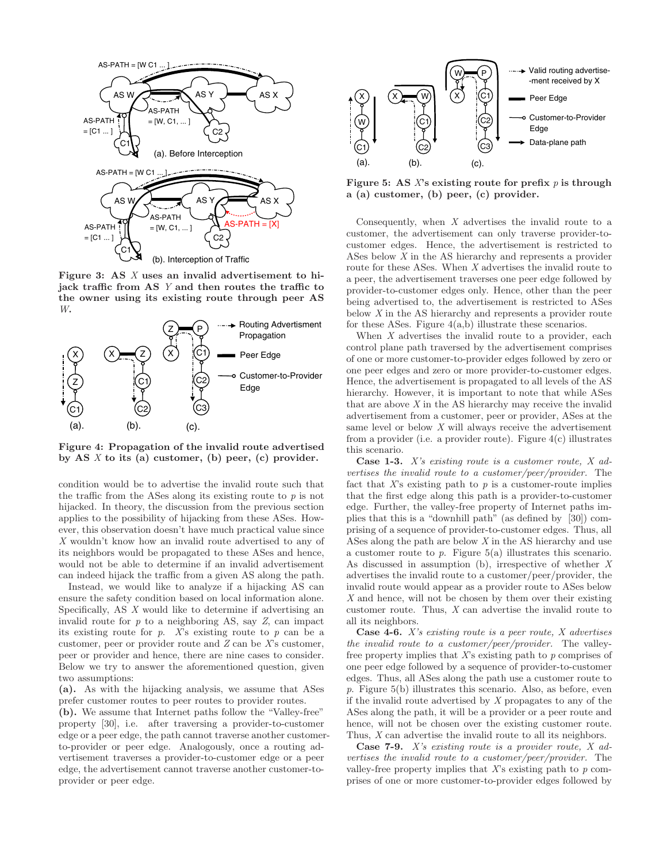

**Figure 3: AS** X **uses an invalid advertisement to hijack traffic from AS** Y **and then routes the traffic to the owner using its existing route through peer AS** W**.**



**Figure 4: Propagation of the invalid route advertised by AS** X **to its (a) customer, (b) peer, (c) provider.**

condition would be to advertise the invalid route such that the traffic from the ASes along its existing route to  $p$  is not hijacked. In theory, the discussion from the previous section applies to the possibility of hijacking from these ASes. However, this observation doesn't have much practical value since X wouldn't know how an invalid route advertised to any of its neighbors would be propagated to these ASes and hence, would not be able to determine if an invalid advertisement can indeed hijack the traffic from a given AS along the path.

Instead, we would like to analyze if a hijacking AS can ensure the safety condition based on local information alone. Specifically, AS X would like to determine if advertising an invalid route for  $p$  to a neighboring AS, say  $Z$ , can impact its existing route for  $p$ . X's existing route to  $p$  can be a customer, peer or provider route and  $Z$  can be  $X$ 's customer, peer or provider and hence, there are nine cases to consider. Below we try to answer the aforementioned question, given two assumptions:

**(a).** As with the hijacking analysis, we assume that ASes prefer customer routes to peer routes to provider routes.

**(b).** We assume that Internet paths follow the "Valley-free" property [30], i.e. after traversing a provider-to-customer edge or a peer edge, the path cannot traverse another customerto-provider or peer edge. Analogously, once a routing advertisement traverses a provider-to-customer edge or a peer edge, the advertisement cannot traverse another customer-toprovider or peer edge.



**Figure 5: AS** X**'s existing route for prefix** p **is through a (a) customer, (b) peer, (c) provider.**

Consequently, when X advertises the invalid route to a customer, the advertisement can only traverse provider-tocustomer edges. Hence, the advertisement is restricted to ASes below X in the AS hierarchy and represents a provider route for these ASes. When X advertises the invalid route to a peer, the advertisement traverses one peer edge followed by provider-to-customer edges only. Hence, other than the peer being advertised to, the advertisement is restricted to ASes below X in the AS hierarchy and represents a provider route for these ASes. Figure  $4(a,b)$  illustrate these scenarios.

When  $X$  advertises the invalid route to a provider, each control plane path traversed by the advertisement comprises of one or more customer-to-provider edges followed by zero or one peer edges and zero or more provider-to-customer edges. Hence, the advertisement is propagated to all levels of the AS hierarchy. However, it is important to note that while ASes that are above  $X$  in the AS hierarchy may receive the invalid advertisement from a customer, peer or provider, ASes at the same level or below X will always receive the advertisement from a provider (i.e. a provider route). Figure 4(c) illustrates this scenario.

**Case 1-3.** X's existing route is a customer route, X advertises the invalid route to a customer/peer/provider. The fact that  $X$ 's existing path to  $p$  is a customer-route implies that the first edge along this path is a provider-to-customer edge. Further, the valley-free property of Internet paths implies that this is a "downhill path" (as defined by [30]) comprising of a sequence of provider-to-customer edges. Thus, all ASes along the path are below X in the AS hierarchy and use a customer route to  $p$ . Figure  $5(a)$  illustrates this scenario. As discussed in assumption (b), irrespective of whether X advertises the invalid route to a customer/peer/provider, the invalid route would appear as a provider route to ASes below X and hence, will not be chosen by them over their existing customer route. Thus, X can advertise the invalid route to all its neighbors.

**Case 4-6.** X's existing route is a peer route, X advertises the invalid route to a customer/peer/provider. The valleyfree property implies that  $X$ 's existing path to p comprises of one peer edge followed by a sequence of provider-to-customer edges. Thus, all ASes along the path use a customer route to p. Figure 5(b) illustrates this scenario. Also, as before, even if the invalid route advertised by  $X$  propagates to any of the ASes along the path, it will be a provider or a peer route and hence, will not be chosen over the existing customer route. Thus, X can advertise the invalid route to all its neighbors.

**Case 7-9.** X's existing route is a provider route, X advertises the invalid route to a customer/peer/provider. The valley-free property implies that  $X$ 's existing path to p comprises of one or more customer-to-provider edges followed by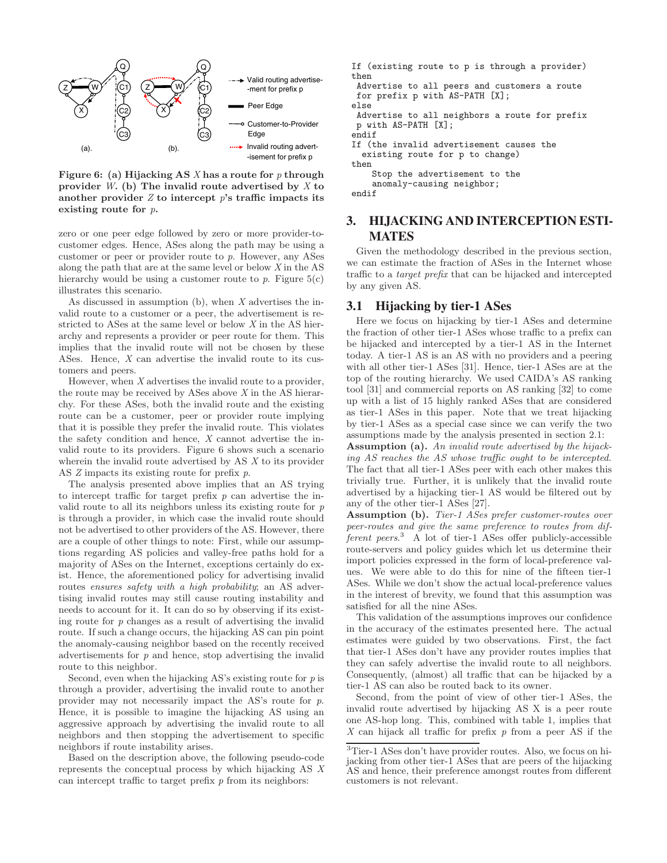

**Figure 6: (a) Hijacking AS** X **has a route for** p **through provider** W**. (b) The invalid route advertised by** X **to another provider** Z **to intercept** p**'s traffic impacts its existing route for** p**.**

zero or one peer edge followed by zero or more provider-tocustomer edges. Hence, ASes along the path may be using a customer or peer or provider route to p. However, any ASes along the path that are at the same level or below  $X$  in the AS hierarchy would be using a customer route to  $p$ . Figure  $5(c)$ illustrates this scenario.

As discussed in assumption (b), when X advertises the invalid route to a customer or a peer, the advertisement is restricted to ASes at the same level or below  $X$  in the AS hierarchy and represents a provider or peer route for them. This implies that the invalid route will not be chosen by these ASes. Hence, X can advertise the invalid route to its customers and peers.

However, when  $X$  advertises the invalid route to a provider, the route may be received by ASes above  $X$  in the AS hierarchy. For these ASes, both the invalid route and the existing route can be a customer, peer or provider route implying that it is possible they prefer the invalid route. This violates the safety condition and hence, X cannot advertise the invalid route to its providers. Figure 6 shows such a scenario wherein the invalid route advertised by AS X to its provider AS Z impacts its existing route for prefix p.

The analysis presented above implies that an AS trying to intercept traffic for target prefix  $p$  can advertise the invalid route to all its neighbors unless its existing route for p is through a provider, in which case the invalid route should not be advertised to other providers of the AS. However, there are a couple of other things to note: First, while our assumptions regarding AS policies and valley-free paths hold for a majority of ASes on the Internet, exceptions certainly do exist. Hence, the aforementioned policy for advertising invalid routes ensures safety with a high probability; an AS advertising invalid routes may still cause routing instability and needs to account for it. It can do so by observing if its existing route for p changes as a result of advertising the invalid route. If such a change occurs, the hijacking AS can pin point the anomaly-causing neighbor based on the recently received advertisements for  $p$  and hence, stop advertising the invalid route to this neighbor.

Second, even when the hijacking  $AS$ 's existing route for  $p$  is through a provider, advertising the invalid route to another provider may not necessarily impact the AS's route for p. Hence, it is possible to imagine the hijacking AS using an aggressive approach by advertising the invalid route to all neighbors and then stopping the advertisement to specific neighbors if route instability arises.

Based on the description above, the following pseudo-code represents the conceptual process by which hijacking AS X can intercept traffic to target prefix  $p$  from its neighbors:

```
If (existing route to p is through a provider)
then
Advertise to all peers and customers a route
for prefix p with AS-PATH [X];
else
Advertise to all neighbors a route for prefix
p with AS-PATH [X];
endif
If (the invalid advertisement causes the
  existing route for p to change)
then
   Stop the advertisement to the
    anomaly-causing neighbor;
```
endif

# **3. HIJACKING AND INTERCEPTION ESTI-MATES**

Given the methodology described in the previous section, we can estimate the fraction of ASes in the Internet whose traffic to a target prefix that can be hijacked and intercepted by any given AS.

# **3.1 Hijacking by tier-1 ASes**

Here we focus on hijacking by tier-1 ASes and determine the fraction of other tier-1 ASes whose traffic to a prefix can be hijacked and intercepted by a tier-1 AS in the Internet today. A tier-1 AS is an AS with no providers and a peering with all other tier-1 ASes [31]. Hence, tier-1 ASes are at the top of the routing hierarchy. We used CAIDA's AS ranking tool [31] and commercial reports on AS ranking [32] to come up with a list of 15 highly ranked ASes that are considered as tier-1 ASes in this paper. Note that we treat hijacking by tier-1 ASes as a special case since we can verify the two assumptions made by the analysis presented in section 2.1:

**Assumption (a).** An invalid route advertised by the hijacking AS reaches the AS whose traffic ought to be intercepted. The fact that all tier-1 ASes peer with each other makes this trivially true. Further, it is unlikely that the invalid route advertised by a hijacking tier-1 AS would be filtered out by any of the other tier-1 ASes [27].

**Assumption (b).** Tier-1 ASes prefer customer-routes over peer-routes and give the same preference to routes from different peers.<sup>3</sup> A lot of tier-1 ASes offer publicly-accessible route-servers and policy guides which let us determine their import policies expressed in the form of local-preference values. We were able to do this for nine of the fifteen tier-1 ASes. While we don't show the actual local-preference values in the interest of brevity, we found that this assumption was satisfied for all the nine ASes.

This validation of the assumptions improves our confidence in the accuracy of the estimates presented here. The actual estimates were guided by two observations. First, the fact that tier-1 ASes don't have any provider routes implies that they can safely advertise the invalid route to all neighbors. Consequently, (almost) all traffic that can be hijacked by a tier-1 AS can also be routed back to its owner.

Second, from the point of view of other tier-1 ASes, the invalid route advertised by hijacking AS X is a peer route one AS-hop long. This, combined with table 1, implies that  $X$  can hijack all traffic for prefix  $p$  from a peer AS if the

<sup>3</sup>Tier-1 ASes don't have provider routes. Also, we focus on hijacking from other tier-1 ASes that are peers of the hijacking AS and hence, their preference amongst routes from different customers is not relevant.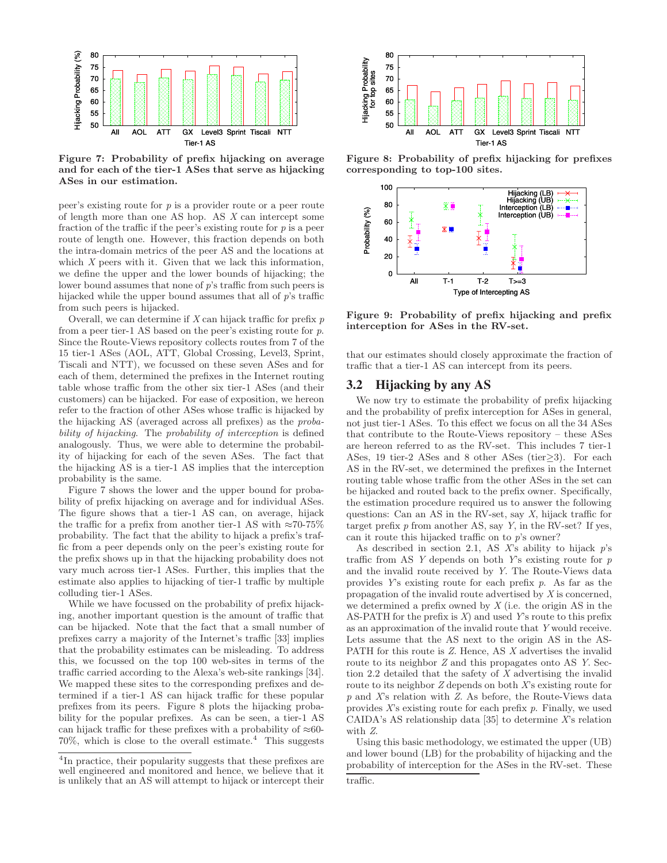

**Figure 7: Probability of prefix hijacking on average and for each of the tier-1 ASes that serve as hijacking ASes in our estimation.**

peer's existing route for  $p$  is a provider route or a peer route of length more than one AS hop. AS X can intercept some fraction of the traffic if the peer's existing route for  $p$  is a peer route of length one. However, this fraction depends on both the intra-domain metrics of the peer AS and the locations at which  $X$  peers with it. Given that we lack this information, we define the upper and the lower bounds of hijacking; the lower bound assumes that none of p's traffic from such peers is hijacked while the upper bound assumes that all of p's traffic from such peers is hijacked.

Overall, we can determine if  $X$  can hijack traffic for prefix  $p$ from a peer tier-1 AS based on the peer's existing route for p. Since the Route-Views repository collects routes from 7 of the 15 tier-1 ASes (AOL, ATT, Global Crossing, Level3, Sprint, Tiscali and NTT), we focussed on these seven ASes and for each of them, determined the prefixes in the Internet routing table whose traffic from the other six tier-1 ASes (and their customers) can be hijacked. For ease of exposition, we hereon refer to the fraction of other ASes whose traffic is hijacked by the hijacking AS (averaged across all prefixes) as the probability of hijacking. The probability of interception is defined analogously. Thus, we were able to determine the probability of hijacking for each of the seven ASes. The fact that the hijacking AS is a tier-1 AS implies that the interception probability is the same.

Figure 7 shows the lower and the upper bound for probability of prefix hijacking on average and for individual ASes. The figure shows that a tier-1 AS can, on average, hijack the traffic for a prefix from another tier-1 AS with  $\approx 70-75\%$ probability. The fact that the ability to hijack a prefix's traffic from a peer depends only on the peer's existing route for the prefix shows up in that the hijacking probability does not vary much across tier-1 ASes. Further, this implies that the estimate also applies to hijacking of tier-1 traffic by multiple colluding tier-1 ASes.

While we have focussed on the probability of prefix hijacking, another important question is the amount of traffic that can be hijacked. Note that the fact that a small number of prefixes carry a majority of the Internet's traffic [33] implies that the probability estimates can be misleading. To address this, we focussed on the top 100 web-sites in terms of the traffic carried according to the Alexa's web-site rankings [34]. We mapped these sites to the corresponding prefixes and determined if a tier-1 AS can hijack traffic for these popular prefixes from its peers. Figure 8 plots the hijacking probability for the popular prefixes. As can be seen, a tier-1 AS can hijack traffic for these prefixes with a probability of  $\approx 60$ - $70\%$ , which is close to the overall estimate.<sup>4</sup> This suggests



**Figure 8: Probability of prefix hijacking for prefixes corresponding to top-100 sites.**



**Figure 9: Probability of prefix hijacking and prefix interception for ASes in the RV-set.**

that our estimates should closely approximate the fraction of traffic that a tier-1 AS can intercept from its peers.

#### **3.2 Hijacking by any AS**

We now try to estimate the probability of prefix hijacking and the probability of prefix interception for ASes in general, not just tier-1 ASes. To this effect we focus on all the 34 ASes that contribute to the Route-Views repository – these ASes are hereon referred to as the RV-set. This includes 7 tier-1 ASes, 19 tier-2 ASes and 8 other ASes (tier≥3). For each AS in the RV-set, we determined the prefixes in the Internet routing table whose traffic from the other ASes in the set can be hijacked and routed back to the prefix owner. Specifically, the estimation procedure required us to answer the following questions: Can an AS in the RV-set, say  $X$ , hijack traffic for target prefix  $p$  from another AS, say  $Y$ , in the RV-set? If yes, can it route this hijacked traffic on to p's owner?

As described in section 2.1, AS  $X$ 's ability to hijack  $p$ 's traffic from AS Y depends on both Y's existing route for  $p$ and the invalid route received by Y. The Route-Views data provides Y's existing route for each prefix p. As far as the propagation of the invalid route advertised by  $X$  is concerned, we determined a prefix owned by  $X$  (i.e. the origin AS in the AS-PATH for the prefix is  $X$ ) and used  $Y$ 's route to this prefix as an approximation of the invalid route that Y would receive. Lets assume that the AS next to the origin AS in the AS-PATH for this route is Z. Hence, AS X advertises the invalid route to its neighbor Z and this propagates onto AS Y. Section 2.2 detailed that the safety of  $X$  advertising the invalid route to its neighbor Z depends on both X's existing route for  $p$  and  $X$ 's relation with  $Z$ . As before, the Route-Views data provides  $X$ 's existing route for each prefix  $p$ . Finally, we used CAIDA's AS relationship data [35] to determine  $X$ 's relation with Z.

Using this basic methodology, we estimated the upper (UB) and lower bound (LB) for the probability of hijacking and the probability of interception for the ASes in the RV-set. These

<sup>&</sup>lt;sup>4</sup>In practice, their popularity suggests that these prefixes are well engineered and monitored and hence, we believe that it is unlikely that an AS will attempt to hijack or intercept their

traffic.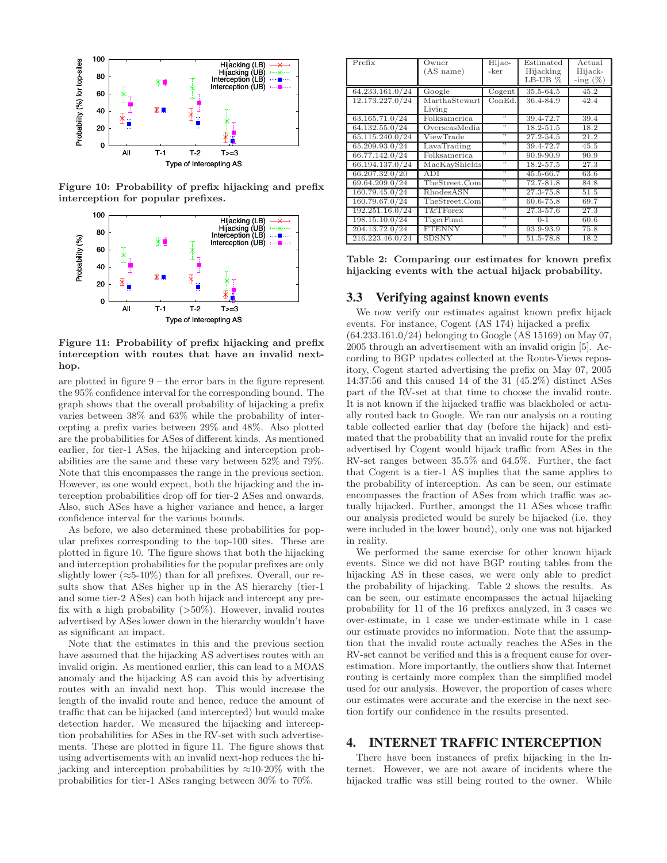

**Figure 10: Probability of prefix hijacking and prefix interception for popular prefixes.**



**Figure 11: Probability of prefix hijacking and prefix interception with routes that have an invalid nexthop.**

are plotted in figure  $9$  – the error bars in the figure represent the 95% confidence interval for the corresponding bound. The graph shows that the overall probability of hijacking a prefix varies between 38% and 63% while the probability of intercepting a prefix varies between 29% and 48%. Also plotted are the probabilities for ASes of different kinds. As mentioned earlier, for tier-1 ASes, the hijacking and interception probabilities are the same and these vary between 52% and 79%. Note that this encompasses the range in the previous section. However, as one would expect, both the hijacking and the interception probabilities drop off for tier-2 ASes and onwards. Also, such ASes have a higher variance and hence, a larger confidence interval for the various bounds.

As before, we also determined these probabilities for popular prefixes corresponding to the top-100 sites. These are plotted in figure 10. The figure shows that both the hijacking and interception probabilities for the popular prefixes are only slightly lower ( $\approx$ 5-10%) than for all prefixes. Overall, our results show that ASes higher up in the AS hierarchy (tier-1 and some tier-2 ASes) can both hijack and intercept any prefix with a high probability (*>*50%). However, invalid routes advertised by ASes lower down in the hierarchy wouldn't have as significant an impact.

Note that the estimates in this and the previous section have assumed that the hijacking AS advertises routes with an invalid origin. As mentioned earlier, this can lead to a MOAS anomaly and the hijacking AS can avoid this by advertising routes with an invalid next hop. This would increase the length of the invalid route and hence, reduce the amount of traffic that can be hijacked (and intercepted) but would make detection harder. We measured the hijacking and interception probabilities for ASes in the RV-set with such advertisements. These are plotted in figure 11. The figure shows that using advertisements with an invalid next-hop reduces the hijacking and interception probabilities by  $\approx$ 10-20% with the probabilities for tier-1 ASes ranging between 30% to 70%.

| Prefix          | Owner<br>$(AS \text{ name})$ | Hijac-<br>-ker                | Estimated<br>Hijacking<br>$LB$ -UB $%$ | Actual<br>Hijack-<br>$-$ ing $(\%)$ |
|-----------------|------------------------------|-------------------------------|----------------------------------------|-------------------------------------|
| 64.233.161.0/24 | Google                       | $\overline{\mathrm{C}}$ ogent | 35.5-64.5                              | 45.2                                |
| 12.173.227.0/24 | MarthaStewart<br>Living      | ConEd.                        | 36.4-84.9                              | 42.4                                |
| 63.165.71.0/24  | Folksamerica                 | $\overline{\mathcal{L}}$      | 39.4-72.7                              | 39.4                                |
| 64.132.55.0/24  | OverseasMedia                | ,                             | 18.2-51.5                              | 18.2                                |
| 65.115.240.0/24 | ViewTrade                    | $\overline{22}$               | 27.2-54.5                              | 21.2                                |
| 65.209.93.0/24  | LavaTrading                  | ,7                            | 39.4-72.7                              | 45.5                                |
| 66.77.142.0/24  | <b>Folksamerica</b>          | ,7                            | $90.9 - 90.9$                          | 90.9                                |
| 66.194.137.0/24 | MacKayShields                | 77                            | 18.2-57.5                              | 27.3                                |
| 66.207.32.0/20  | ADI                          | $\overline{\mathbf{1}}$       | 45.5-66.7                              | 63.6                                |
| 69.64.209.0/24  | TheStreet.Com                | $\overline{22}$               | 72.7-81.8                              | 84.8                                |
| 160.79.45.0/24  | RhodesASN                    | ,7                            | 27.3-75.8                              | 51.5                                |
| 160.79.67.0/24  | TheStreet.Com                | $\overline{22}$               | 60.6-75.8                              | 69.7                                |
| 192.251.16.0/24 | T&TForex                     | $\overline{22}$               | $27.3 - 57.6$                          | 27.3                                |
| 198.15.10.0/24  | TigerFund                    | $\overline{\mathcal{L}}$      | $0 - 1$                                | 60.6                                |
| 204.13.72.0/24  | <b>FTENNY</b>                | $\overline{22}$               | 93.9-93.9                              | 75.8                                |
| 216.223.46.0/24 | SDSNY                        | ,                             | 51.5-78.8                              | 18.2                                |

**Table 2: Comparing our estimates for known prefix hijacking events with the actual hijack probability.**

#### **3.3 Verifying against known events**

We now verify our estimates against known prefix hijack events. For instance, Cogent (AS 174) hijacked a prefix (64.233.161.0/24) belonging to Google (AS 15169) on May 07, 2005 through an advertisement with an invalid origin [5]. According to BGP updates collected at the Route-Views repository, Cogent started advertising the prefix on May 07, 2005 14:37:56 and this caused 14 of the 31 (45.2%) distinct ASes part of the RV-set at that time to choose the invalid route. It is not known if the hijacked traffic was blackholed or actually routed back to Google. We ran our analysis on a routing table collected earlier that day (before the hijack) and estimated that the probability that an invalid route for the prefix advertised by Cogent would hijack traffic from ASes in the RV-set ranges between 35.5% and 64.5%. Further, the fact that Cogent is a tier-1 AS implies that the same applies to the probability of interception. As can be seen, our estimate encompasses the fraction of ASes from which traffic was actually hijacked. Further, amongst the 11 ASes whose traffic our analysis predicted would be surely be hijacked (i.e. they were included in the lower bound), only one was not hijacked in reality.

We performed the same exercise for other known hijack events. Since we did not have BGP routing tables from the hijacking AS in these cases, we were only able to predict the probability of hijacking. Table 2 shows the results. As can be seen, our estimate encompasses the actual hijacking probability for 11 of the 16 prefixes analyzed, in 3 cases we over-estimate, in 1 case we under-estimate while in 1 case our estimate provides no information. Note that the assumption that the invalid route actually reaches the ASes in the RV-set cannot be verified and this is a frequent cause for overestimation. More importantly, the outliers show that Internet routing is certainly more complex than the simplified model used for our analysis. However, the proportion of cases where our estimates were accurate and the exercise in the next section fortify our confidence in the results presented.

## **4. INTERNET TRAFFIC INTERCEPTION**

There have been instances of prefix hijacking in the Internet. However, we are not aware of incidents where the hijacked traffic was still being routed to the owner. While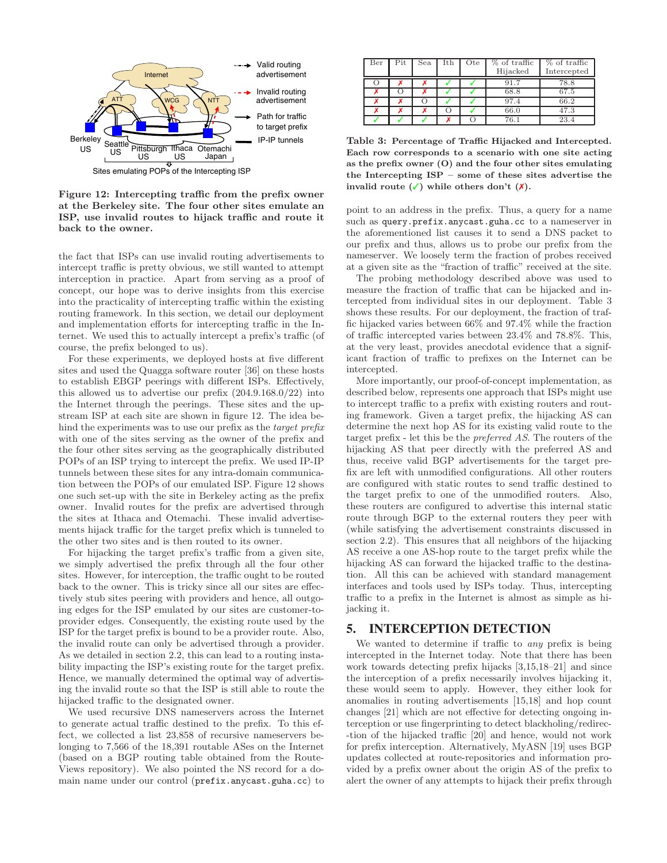

**Figure 12: Intercepting traffic from the prefix owner at the Berkeley site. The four other sites emulate an ISP, use invalid routes to hijack traffic and route it back to the owner.**

the fact that ISPs can use invalid routing advertisements to intercept traffic is pretty obvious, we still wanted to attempt interception in practice. Apart from serving as a proof of concept, our hope was to derive insights from this exercise into the practicality of intercepting traffic within the existing routing framework. In this section, we detail our deployment and implementation efforts for intercepting traffic in the Internet. We used this to actually intercept a prefix's traffic (of course, the prefix belonged to us).

For these experiments, we deployed hosts at five different sites and used the Quagga software router [36] on these hosts to establish EBGP peerings with different ISPs. Effectively, this allowed us to advertise our prefix (204.9.168.0/22) into the Internet through the peerings. These sites and the upstream ISP at each site are shown in figure 12. The idea behind the experiments was to use our prefix as the *target prefix* with one of the sites serving as the owner of the prefix and the four other sites serving as the geographically distributed POPs of an ISP trying to intercept the prefix. We used IP-IP tunnels between these sites for any intra-domain communication between the POPs of our emulated ISP. Figure 12 shows one such set-up with the site in Berkeley acting as the prefix owner. Invalid routes for the prefix are advertised through the sites at Ithaca and Otemachi. These invalid advertisements hijack traffic for the target prefix which is tunneled to the other two sites and is then routed to its owner.

For hijacking the target prefix's traffic from a given site, we simply advertised the prefix through all the four other sites. However, for interception, the traffic ought to be routed back to the owner. This is tricky since all our sites are effectively stub sites peering with providers and hence, all outgoing edges for the ISP emulated by our sites are customer-toprovider edges. Consequently, the existing route used by the ISP for the target prefix is bound to be a provider route. Also, the invalid route can only be advertised through a provider. As we detailed in section 2.2, this can lead to a routing instability impacting the ISP's existing route for the target prefix. Hence, we manually determined the optimal way of advertising the invalid route so that the ISP is still able to route the hijacked traffic to the designated owner.

We used recursive DNS nameservers across the Internet to generate actual traffic destined to the prefix. To this effect, we collected a list 23,858 of recursive nameservers belonging to 7,566 of the 18,391 routable ASes on the Internet (based on a BGP routing table obtained from the Route-Views repository). We also pointed the NS record for a domain name under our control (prefix.anycast.guha.cc) to

| Ber | $_{\rm Pit}$ | Sea | Ith | Ote | $%$ of traffic<br>Hijacked | % of traffic<br>Intercepted |
|-----|--------------|-----|-----|-----|----------------------------|-----------------------------|
|     |              |     |     |     |                            | 78.8                        |
|     |              |     |     |     | 68.8                       | 67.5                        |
|     |              |     |     |     | 97.4                       | 66.2                        |
|     |              |     |     |     | 66.0                       | 47.3                        |
|     |              |     |     |     | 76.1                       |                             |

**Table 3: Percentage of Traffic Hijacked and Intercepted. Each row corresponds to a scenario with one site acting as the prefix owner (O) and the four other sites emulating the Intercepting ISP – some of these sites advertise the** invalid route  $(\checkmark)$  while others don't  $(\checkmark)$ .

point to an address in the prefix. Thus, a query for a name such as query.prefix.anycast.guha.cc to a nameserver in the aforementioned list causes it to send a DNS packet to our prefix and thus, allows us to probe our prefix from the nameserver. We loosely term the fraction of probes received at a given site as the "fraction of traffic" received at the site.

The probing methodology described above was used to measure the fraction of traffic that can be hijacked and intercepted from individual sites in our deployment. Table 3 shows these results. For our deployment, the fraction of traffic hijacked varies between 66% and 97.4% while the fraction of traffic intercepted varies between 23.4% and 78.8%. This, at the very least, provides anecdotal evidence that a significant fraction of traffic to prefixes on the Internet can be intercepted.

More importantly, our proof-of-concept implementation, as described below, represents one approach that ISPs might use to intercept traffic to a prefix with existing routers and routing framework. Given a target prefix, the hijacking AS can determine the next hop AS for its existing valid route to the target prefix - let this be the preferred AS. The routers of the hijacking AS that peer directly with the preferred AS and thus, receive valid BGP advertisements for the target prefix are left with unmodified configurations. All other routers are configured with static routes to send traffic destined to the target prefix to one of the unmodified routers. Also, these routers are configured to advertise this internal static route through BGP to the external routers they peer with (while satisfying the advertisement constraints discussed in section 2.2). This ensures that all neighbors of the hijacking AS receive a one AS-hop route to the target prefix while the hijacking AS can forward the hijacked traffic to the destination. All this can be achieved with standard management interfaces and tools used by ISPs today. Thus, intercepting traffic to a prefix in the Internet is almost as simple as hijacking it.

## **5. INTERCEPTION DETECTION**

We wanted to determine if traffic to *any* prefix is being intercepted in the Internet today. Note that there has been work towards detecting prefix hijacks [3,15,18–21] and since the interception of a prefix necessarily involves hijacking it, these would seem to apply. However, they either look for anomalies in routing advertisements [15,18] and hop count changes [21] which are not effective for detecting ongoing interception or use fingerprinting to detect blackholing/redirec- -tion of the hijacked traffic [20] and hence, would not work for prefix interception. Alternatively, MyASN [19] uses BGP updates collected at route-repositories and information provided by a prefix owner about the origin AS of the prefix to alert the owner of any attempts to hijack their prefix through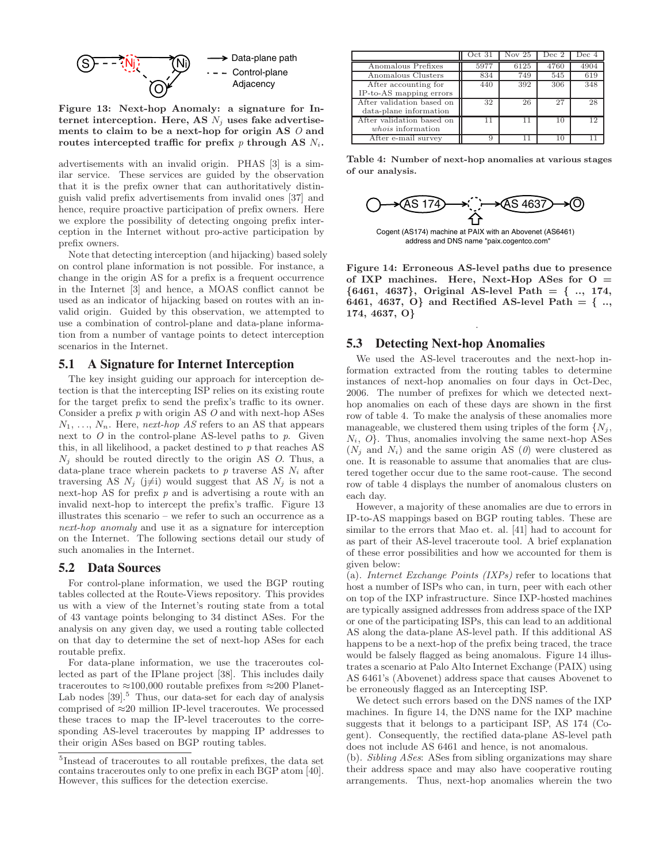

**Figure 13: Next-hop Anomaly: a signature for Internet interception. Here, AS** *N<sup>j</sup>* **uses fake advertisements to claim to be a next-hop for origin AS** O **and routes intercepted traffic for prefix** p **through AS** *Ni***.**

advertisements with an invalid origin. PHAS [3] is a similar service. These services are guided by the observation that it is the prefix owner that can authoritatively distinguish valid prefix advertisements from invalid ones [37] and hence, require proactive participation of prefix owners. Here we explore the possibility of detecting ongoing prefix interception in the Internet without pro-active participation by prefix owners.

Note that detecting interception (and hijacking) based solely on control plane information is not possible. For instance, a change in the origin AS for a prefix is a frequent occurrence in the Internet [3] and hence, a MOAS conflict cannot be used as an indicator of hijacking based on routes with an invalid origin. Guided by this observation, we attempted to use a combination of control-plane and data-plane information from a number of vantage points to detect interception scenarios in the Internet.

## **5.1 A Signature for Internet Interception**

The key insight guiding our approach for interception detection is that the intercepting ISP relies on its existing route for the target prefix to send the prefix's traffic to its owner. Consider a prefix p with origin AS O and with next-hop ASes  $N_1, \ldots, N_n$ . Here, *next-hop AS* refers to an AS that appears next to  $O$  in the control-plane AS-level paths to  $p$ . Given this, in all likelihood, a packet destined to p that reaches AS  $N_i$  should be routed directly to the origin AS O. Thus, a data-plane trace wherein packets to p traverse AS *N<sup>i</sup>* after traversing AS  $N_j$  (j $\neq$ i) would suggest that AS  $N_j$  is not a next-hop AS for prefix  $p$  and is advertising a route with an invalid next-hop to intercept the prefix's traffic. Figure 13 illustrates this scenario – we refer to such an occurrence as a next-hop anomaly and use it as a signature for interception on the Internet. The following sections detail our study of such anomalies in the Internet.

#### **5.2 Data Sources**

For control-plane information, we used the BGP routing tables collected at the Route-Views repository. This provides us with a view of the Internet's routing state from a total of 43 vantage points belonging to 34 distinct ASes. For the analysis on any given day, we used a routing table collected on that day to determine the set of next-hop ASes for each routable prefix.

For data-plane information, we use the traceroutes collected as part of the IPlane project [38]. This includes daily traceroutes to  $\approx$ 100,000 routable prefixes from  $\approx$ 200 Planet-Lab nodes  $[39]$ <sup>5</sup>. Thus, our data-set for each day of analysis comprised of  $\approx 20$  million IP-level traceroutes. We processed these traces to map the IP-level traceroutes to the corresponding AS-level traceroutes by mapping IP addresses to their origin ASes based on BGP routing tables.

|                           | Oct 31 | Nov $25$ | Dec 2 | Dec 4 |
|---------------------------|--------|----------|-------|-------|
| Anomalous Prefixes        | 5977   | 6125     | 4760  | 4904  |
| Anomalous Clusters        | 834    | 749      | 545   | 619   |
| After accounting for      | 440    | 392      | 306   | 348   |
| IP-to-AS mapping errors   |        |          |       |       |
| After validation based on | 32     | 26       | 27    | 28    |
| data-plane information    |        |          |       |       |
| After validation based on | 11     | 11       | 10    | 12    |
| <i>whois</i> information  |        |          |       |       |
| After e-mail survey       | a      |          | 10    |       |

**Table 4: Number of next-hop anomalies at various stages of our analysis.**



Cogent (AS174) machine at PAIX with an Abovenet (AS6461) address and DNS name "paix.cogentco.com"

**Figure 14: Erroneous AS-level paths due to presence of IXP machines. Here, Next-Hop ASes for O =** *{***6461, 4637***}***, Original AS-level Path =** *{* **.., 174, 6461, 4637, O***}* **and Rectified AS-level Path =** *{* **.., 174, 4637, O***}*

.

#### **5.3 Detecting Next-hop Anomalies**

We used the AS-level traceroutes and the next-hop information extracted from the routing tables to determine instances of next-hop anomalies on four days in Oct-Dec, 2006. The number of prefixes for which we detected nexthop anomalies on each of these days are shown in the first row of table 4. To make the analysis of these anomalies more manageable, we clustered them using triples of the form  $\{N_i,$  $N_i$ ,  $O$ . Thus, anomalies involving the same next-hop ASes  $(N_j \text{ and } N_i)$  and the same origin AS  $(0)$  were clustered as one. It is reasonable to assume that anomalies that are clustered together occur due to the same root-cause. The second row of table 4 displays the number of anomalous clusters on each day.

However, a majority of these anomalies are due to errors in IP-to-AS mappings based on BGP routing tables. These are similar to the errors that Mao et. al. [41] had to account for as part of their AS-level traceroute tool. A brief explanation of these error possibilities and how we accounted for them is given below:

(a). Internet Exchange Points (IXPs) refer to locations that host a number of ISPs who can, in turn, peer with each other on top of the IXP infrastructure. Since IXP-hosted machines are typically assigned addresses from address space of the IXP or one of the participating ISPs, this can lead to an additional AS along the data-plane AS-level path. If this additional AS happens to be a next-hop of the prefix being traced, the trace would be falsely flagged as being anomalous. Figure 14 illustrates a scenario at Palo Alto Internet Exchange (PAIX) using AS 6461's (Abovenet) address space that causes Abovenet to be erroneously flagged as an Intercepting ISP.

We detect such errors based on the DNS names of the IXP machines. In figure 14, the DNS name for the IXP machine suggests that it belongs to a participant ISP, AS 174 (Cogent). Consequently, the rectified data-plane AS-level path does not include AS 6461 and hence, is not anomalous.

(b). Sibling ASes: ASes from sibling organizations may share their address space and may also have cooperative routing arrangements. Thus, next-hop anomalies wherein the two

<sup>5</sup>Instead of traceroutes to all routable prefixes, the data set contains traceroutes only to one prefix in each BGP atom [40]. However, this suffices for the detection exercise.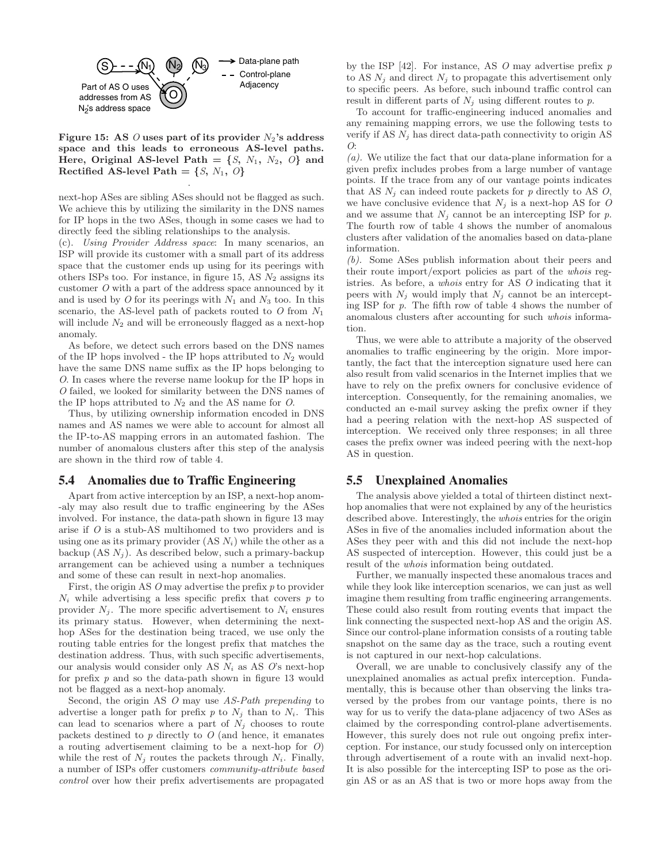

**Figure 15: AS** O **uses part of its provider** *N*2**'s address space and this leads to erroneous AS-level paths. Here, Original AS-level Path =**  $\{S, N_1, N_2, O\}$  and **Rectified AS-level Path =**  $\{S, N_1, O\}$ 

.

next-hop ASes are sibling ASes should not be flagged as such. We achieve this by utilizing the similarity in the DNS names for IP hops in the two ASes, though in some cases we had to directly feed the sibling relationships to the analysis.

(c). Using Provider Address space: In many scenarios, an ISP will provide its customer with a small part of its address space that the customer ends up using for its peerings with others ISPs too. For instance, in figure 15, AS *N*<sup>2</sup> assigns its customer O with a part of the address space announced by it and is used by  $O$  for its peerings with  $N_1$  and  $N_3$  too. In this scenario, the AS-level path of packets routed to O from *N*<sup>1</sup> will include  $N_2$  and will be erroneously flagged as a next-hop anomaly.

As before, we detect such errors based on the DNS names of the IP hops involved - the IP hops attributed to  $N_2$  would have the same DNS name suffix as the IP hops belonging to O. In cases where the reverse name lookup for the IP hops in O failed, we looked for similarity between the DNS names of the IP hops attributed to  $N_2$  and the AS name for  $O$ .

Thus, by utilizing ownership information encoded in DNS names and AS names we were able to account for almost all the IP-to-AS mapping errors in an automated fashion. The number of anomalous clusters after this step of the analysis are shown in the third row of table 4.

## **5.4 Anomalies due to Traffic Engineering**

Apart from active interception by an ISP, a next-hop anom- -aly may also result due to traffic engineering by the ASes involved. For instance, the data-path shown in figure 13 may arise if O is a stub-AS multihomed to two providers and is using one as its primary provider  $(AS N_i)$  while the other as a backup  $(AS N<sub>i</sub>)$ . As described below, such a primary-backup arrangement can be achieved using a number a techniques and some of these can result in next-hop anomalies.

First, the origin AS O may advertise the prefix p to provider  $N_i$  while advertising a less specific prefix that covers p to provider  $N_i$ . The more specific advertisement to  $N_i$  ensures its primary status. However, when determining the nexthop ASes for the destination being traced, we use only the routing table entries for the longest prefix that matches the destination address. Thus, with such specific advertisements, our analysis would consider only AS *N<sup>i</sup>* as AS O's next-hop for prefix  $p$  and so the data-path shown in figure 13 would not be flagged as a next-hop anomaly.

Second, the origin AS O may use AS-Path prepending to advertise a longer path for prefix  $p$  to  $N_j$  than to  $N_i$ . This can lead to scenarios where a part of  $N_j$  chooses to route packets destined to  $p$  directly to  $\hat{O}$  (and hence, it emanates a routing advertisement claiming to be a next-hop for O) while the rest of  $N_i$  routes the packets through  $N_i$ . Finally, a number of ISPs offer customers community-attribute based control over how their prefix advertisements are propagated

by the ISP  $[42]$ . For instance, AS O may advertise prefix p to AS  $N_i$  and direct  $N_i$  to propagate this advertisement only to specific peers. As before, such inbound traffic control can result in different parts of  $N_i$  using different routes to p.

To account for traffic-engineering induced anomalies and any remaining mapping errors, we use the following tests to verify if AS  $N_i$  has direct data-path connectivity to origin AS O:

 $(a)$ . We utilize the fact that our data-plane information for a given prefix includes probes from a large number of vantage points. If the trace from any of our vantage points indicates that AS  $N_j$  can indeed route packets for p directly to AS  $O$ , we have conclusive evidence that  $N_j$  is a next-hop AS for O and we assume that  $N_j$  cannot be an intercepting ISP for  $p$ . The fourth row of table 4 shows the number of anomalous clusters after validation of the anomalies based on data-plane information.

(b). Some ASes publish information about their peers and their route import/export policies as part of the whois registries. As before, a whois entry for AS O indicating that it peers with  $N_i$  would imply that  $N_i$  cannot be an intercepting ISP for p. The fifth row of table 4 shows the number of anomalous clusters after accounting for such whois information.

Thus, we were able to attribute a majority of the observed anomalies to traffic engineering by the origin. More importantly, the fact that the interception signature used here can also result from valid scenarios in the Internet implies that we have to rely on the prefix owners for conclusive evidence of interception. Consequently, for the remaining anomalies, we conducted an e-mail survey asking the prefix owner if they had a peering relation with the next-hop AS suspected of interception. We received only three responses; in all three cases the prefix owner was indeed peering with the next-hop AS in question.

## **5.5 Unexplained Anomalies**

The analysis above yielded a total of thirteen distinct nexthop anomalies that were not explained by any of the heuristics described above. Interestingly, the whois entries for the origin ASes in five of the anomalies included information about the ASes they peer with and this did not include the next-hop AS suspected of interception. However, this could just be a result of the whois information being outdated.

Further, we manually inspected these anomalous traces and while they look like interception scenarios, we can just as well imagine them resulting from traffic engineering arrangements. These could also result from routing events that impact the link connecting the suspected next-hop AS and the origin AS. Since our control-plane information consists of a routing table snapshot on the same day as the trace, such a routing event is not captured in our next-hop calculations.

Overall, we are unable to conclusively classify any of the unexplained anomalies as actual prefix interception. Fundamentally, this is because other than observing the links traversed by the probes from our vantage points, there is no way for us to verify the data-plane adjacency of two ASes as claimed by the corresponding control-plane advertisements. However, this surely does not rule out ongoing prefix interception. For instance, our study focussed only on interception through advertisement of a route with an invalid next-hop. It is also possible for the intercepting ISP to pose as the origin AS or as an AS that is two or more hops away from the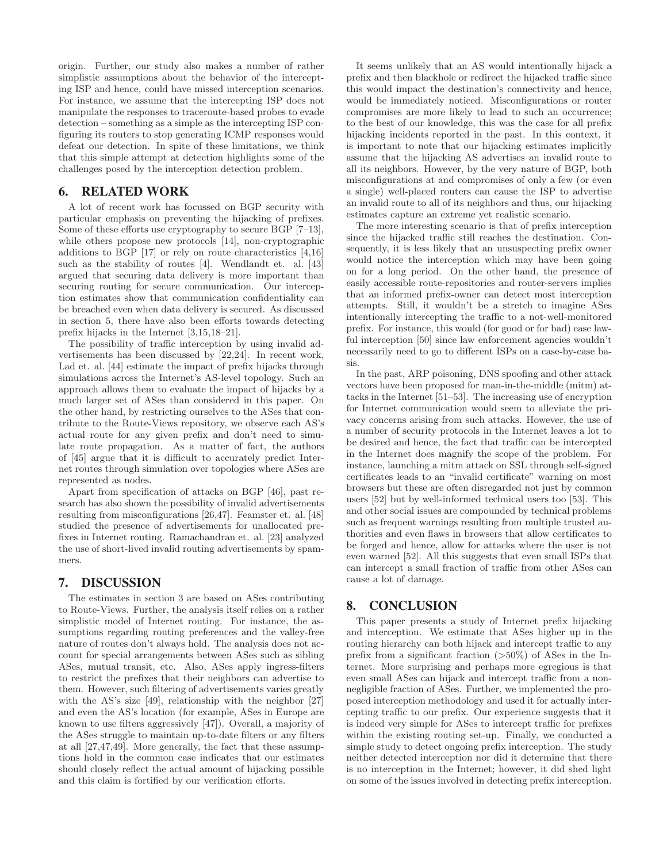origin. Further, our study also makes a number of rather simplistic assumptions about the behavior of the intercepting ISP and hence, could have missed interception scenarios. For instance, we assume that the intercepting ISP does not manipulate the responses to traceroute-based probes to evade detection – something as a simple as the intercepting ISP configuring its routers to stop generating ICMP responses would defeat our detection. In spite of these limitations, we think that this simple attempt at detection highlights some of the challenges posed by the interception detection problem.

# **6. RELATED WORK**

A lot of recent work has focussed on BGP security with particular emphasis on preventing the hijacking of prefixes. Some of these efforts use cryptography to secure BGP [7–13], while others propose new protocols [14], non-cryptographic additions to BGP [17] or rely on route characteristics [4,16] such as the stability of routes [4]. Wendlandt et. al. [43] argued that securing data delivery is more important than securing routing for secure communication. Our interception estimates show that communication confidentiality can be breached even when data delivery is secured. As discussed in section 5, there have also been efforts towards detecting prefix hijacks in the Internet [3,15,18–21].

The possibility of traffic interception by using invalid advertisements has been discussed by [22,24]. In recent work, Lad et. al. [44] estimate the impact of prefix hijacks through simulations across the Internet's AS-level topology. Such an approach allows them to evaluate the impact of hijacks by a much larger set of ASes than considered in this paper. On the other hand, by restricting ourselves to the ASes that contribute to the Route-Views repository, we observe each AS's actual route for any given prefix and don't need to simulate route propagation. As a matter of fact, the authors of [45] argue that it is difficult to accurately predict Internet routes through simulation over topologies where ASes are represented as nodes.

Apart from specification of attacks on BGP [46], past research has also shown the possibility of invalid advertisements resulting from misconfigurations [26,47]. Feamster et. al. [48] studied the presence of advertisements for unallocated prefixes in Internet routing. Ramachandran et. al. [23] analyzed the use of short-lived invalid routing advertisements by spammers.

# **7. DISCUSSION**

The estimates in section 3 are based on ASes contributing to Route-Views. Further, the analysis itself relies on a rather simplistic model of Internet routing. For instance, the assumptions regarding routing preferences and the valley-free nature of routes don't always hold. The analysis does not account for special arrangements between ASes such as sibling ASes, mutual transit, etc. Also, ASes apply ingress-filters to restrict the prefixes that their neighbors can advertise to them. However, such filtering of advertisements varies greatly with the AS's size [49], relationship with the neighbor [27] and even the AS's location (for example, ASes in Europe are known to use filters aggressively [47]). Overall, a majority of the ASes struggle to maintain up-to-date filters or any filters at all [27,47,49]. More generally, the fact that these assumptions hold in the common case indicates that our estimates should closely reflect the actual amount of hijacking possible and this claim is fortified by our verification efforts.

It seems unlikely that an AS would intentionally hijack a prefix and then blackhole or redirect the hijacked traffic since this would impact the destination's connectivity and hence, would be immediately noticed. Misconfigurations or router compromises are more likely to lead to such an occurrence; to the best of our knowledge, this was the case for all prefix hijacking incidents reported in the past. In this context, it is important to note that our hijacking estimates implicitly assume that the hijacking AS advertises an invalid route to all its neighbors. However, by the very nature of BGP, both misconfigurations at and compromises of only a few (or even a single) well-placed routers can cause the ISP to advertise an invalid route to all of its neighbors and thus, our hijacking estimates capture an extreme yet realistic scenario.

The more interesting scenario is that of prefix interception since the hijacked traffic still reaches the destination. Consequently, it is less likely that an unsuspecting prefix owner would notice the interception which may have been going on for a long period. On the other hand, the presence of easily accessible route-repositories and router-servers implies that an informed prefix-owner can detect most interception attempts. Still, it wouldn't be a stretch to imagine ASes intentionally intercepting the traffic to a not-well-monitored prefix. For instance, this would (for good or for bad) ease lawful interception [50] since law enforcement agencies wouldn't necessarily need to go to different ISPs on a case-by-case basis.

In the past, ARP poisoning, DNS spoofing and other attack vectors have been proposed for man-in-the-middle (mitm) attacks in the Internet [51–53]. The increasing use of encryption for Internet communication would seem to alleviate the privacy concerns arising from such attacks. However, the use of a number of security protocols in the Internet leaves a lot to be desired and hence, the fact that traffic can be intercepted in the Internet does magnify the scope of the problem. For instance, launching a mitm attack on SSL through self-signed certificates leads to an "invalid certificate" warning on most browsers but these are often disregarded not just by common users [52] but by well-informed technical users too [53]. This and other social issues are compounded by technical problems such as frequent warnings resulting from multiple trusted authorities and even flaws in browsers that allow certificates to be forged and hence, allow for attacks where the user is not even warned [52]. All this suggests that even small ISPs that can intercept a small fraction of traffic from other ASes can cause a lot of damage.

# **8. CONCLUSION**

This paper presents a study of Internet prefix hijacking and interception. We estimate that ASes higher up in the routing hierarchy can both hijack and intercept traffic to any prefix from a significant fraction (*>*50%) of ASes in the Internet. More surprising and perhaps more egregious is that even small ASes can hijack and intercept traffic from a nonnegligible fraction of ASes. Further, we implemented the proposed interception methodology and used it for actually intercepting traffic to our prefix. Our experience suggests that it is indeed very simple for ASes to intercept traffic for prefixes within the existing routing set-up. Finally, we conducted a simple study to detect ongoing prefix interception. The study neither detected interception nor did it determine that there is no interception in the Internet; however, it did shed light on some of the issues involved in detecting prefix interception.